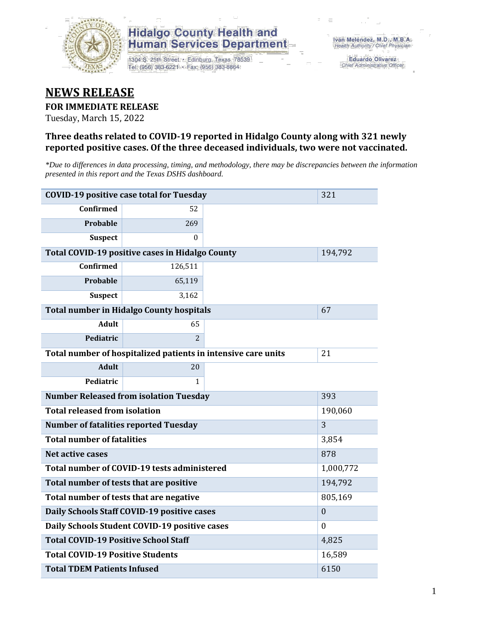

1304 S. 25th Street · Edinburg, Texas 78539 Tel: (956) 383-6221 · Fax: (956) 383-8864

**Eduardo Olivarez** Chief Administrative Officer

### **NEWS RELEASE**

#### **FOR IMMEDIATE RELEASE**

Tuesday, March 15, 2022

#### **Three deaths related to COVID-19 reported in Hidalgo County along with 321 newly reported positive cases. Of the three deceased individuals, two were not vaccinated.**

*\*Due to differences in data processing, timing, and methodology, there may be discrepancies between the information presented in this report and the Texas DSHS dashboard.*

| <b>COVID-19 positive case total for Tuesday</b>               | 321                                             |     |                  |
|---------------------------------------------------------------|-------------------------------------------------|-----|------------------|
| <b>Confirmed</b>                                              | 52                                              |     |                  |
| Probable                                                      | 269                                             |     |                  |
| <b>Suspect</b>                                                | $\Omega$                                        |     |                  |
|                                                               | Total COVID-19 positive cases in Hidalgo County |     | 194,792          |
| <b>Confirmed</b>                                              | 126,511                                         |     |                  |
| Probable                                                      | 65,119                                          |     |                  |
| <b>Suspect</b>                                                | 3,162                                           |     |                  |
|                                                               | <b>Total number in Hidalgo County hospitals</b> |     | 67               |
| <b>Adult</b>                                                  | 65                                              |     |                  |
| Pediatric                                                     | $\overline{2}$                                  |     |                  |
| Total number of hospitalized patients in intensive care units | 21                                              |     |                  |
| <b>Adult</b>                                                  | 20                                              |     |                  |
| Pediatric                                                     | 1                                               |     |                  |
| <b>Number Released from isolation Tuesday</b>                 |                                                 | 393 |                  |
| <b>Total released from isolation</b>                          |                                                 |     | 190,060          |
| <b>Number of fatalities reported Tuesday</b>                  |                                                 |     | 3                |
| <b>Total number of fatalities</b>                             |                                                 |     | 3,854            |
| Net active cases                                              |                                                 |     | 878              |
|                                                               | Total number of COVID-19 tests administered     |     | 1,000,772        |
| Total number of tests that are positive                       |                                                 |     | 194,792          |
| Total number of tests that are negative                       | 805,169                                         |     |                  |
|                                                               | Daily Schools Staff COVID-19 positive cases     |     | $\boldsymbol{0}$ |
|                                                               | Daily Schools Student COVID-19 positive cases   |     | $\mathbf{0}$     |
| <b>Total COVID-19 Positive School Staff</b>                   | 4,825                                           |     |                  |
| <b>Total COVID-19 Positive Students</b>                       |                                                 |     | 16,589           |
| <b>Total TDEM Patients Infused</b>                            | 6150                                            |     |                  |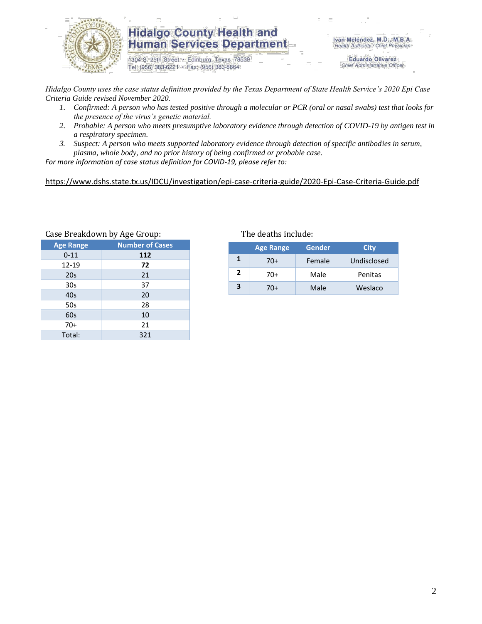

1304 S. 25th Street · Edinburg, Texas 78539 Tel: (956) 383-6221 · Fax: (956) 383-8864

Iván Meléndez, M.D., M.B.A. Health Authority / Chief Physician

> **Eduardo Olivarez** Chief Administrative Officer

*Hidalgo County uses the case status definition provided by the Texas Department of State Health Service's 2020 Epi Case Criteria Guide revised November 2020.*

- *1. Confirmed: A person who has tested positive through a molecular or PCR (oral or nasal swabs) test that looks for the presence of the virus's genetic material.*
- *2. Probable: A person who meets presumptive laboratory evidence through detection of COVID-19 by antigen test in a respiratory specimen.*
- *3. Suspect: A person who meets supported laboratory evidence through detection of specific antibodies in serum, plasma, whole body, and no prior history of being confirmed or probable case.*

*For more information of case status definition for COVID-19, please refer to:*

<https://www.dshs.state.tx.us/IDCU/investigation/epi-case-criteria-guide/2020-Epi-Case-Criteria-Guide.pdf>

|                  | Case Breakdown by Age Group: | The deaths include: |                |                  |    |
|------------------|------------------------------|---------------------|----------------|------------------|----|
| <b>Age Range</b> | <b>Number of Cases</b>       |                     |                | <b>Age Range</b> | Ge |
| $0 - 11$         | 112                          |                     | $\mathbf{1}$   |                  |    |
| 12-19            | 72                           |                     |                | $70+$            | Fe |
| 20s              | 21                           |                     | $\overline{2}$ | $70+$            | N  |
| 30 <sub>s</sub>  | 37                           |                     | 3              | $70+$            | N  |
| 40 <sub>s</sub>  | 20                           |                     |                |                  |    |
| 50s              | 28                           |                     |                |                  |    |
| 60s              | 10                           |                     |                |                  |    |
| $70+$            | 21                           |                     |                |                  |    |
| Total:           | 321                          |                     |                |                  |    |

|   | <b>Age Range</b> | Gender | City        |
|---|------------------|--------|-------------|
|   | 70+              | Female | Undisclosed |
| 2 | 70+              | Male   | Penitas     |
| 3 | 70+              | Male   | Weslaco     |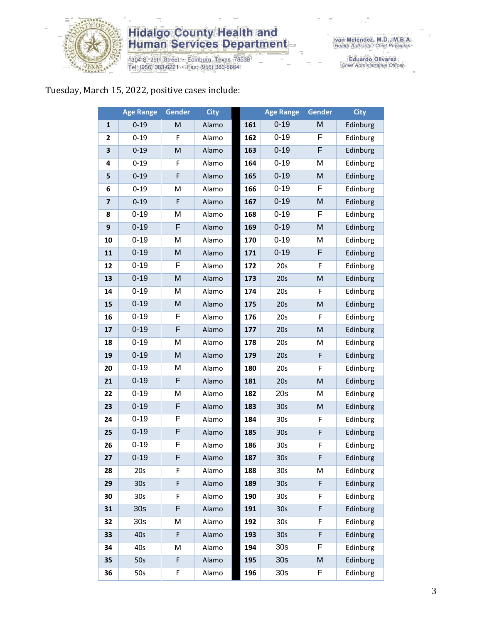

1304 S. 25th Street • Edinburg, Texas 78539<br>Tel: (956) 383-6221 • Fax: (956) 383-8864

Eduardo Olivarez<br>Chief Administrative Officer

#### Tuesday, March 15, 2022, positive cases include:

|                         | <b>Age Range</b> | Gender      | <b>City</b> |     | <b>Age Range</b> | Gender                                                                                                     | <b>City</b> |
|-------------------------|------------------|-------------|-------------|-----|------------------|------------------------------------------------------------------------------------------------------------|-------------|
| $\mathbf{1}$            | $0 - 19$         | M           | Alamo       | 161 | $0 - 19$         | M                                                                                                          | Edinburg    |
| 2                       | $0 - 19$         | F           | Alamo       | 162 | $0 - 19$         | F                                                                                                          | Edinburg    |
| 3                       | $0 - 19$         | ${\sf M}$   | Alamo       | 163 | $0 - 19$         | F                                                                                                          | Edinburg    |
| 4                       | $0 - 19$         | F           | Alamo       | 164 | $0 - 19$         | M                                                                                                          | Edinburg    |
| 5                       | $0 - 19$         | F           | Alamo       | 165 | $0 - 19$         | M                                                                                                          | Edinburg    |
| 6                       | $0 - 19$         | M           | Alamo       | 166 | $0 - 19$         | F                                                                                                          | Edinburg    |
| $\overline{\mathbf{z}}$ | $0 - 19$         | $\mathsf F$ | Alamo       | 167 | $0 - 19$         | M                                                                                                          | Edinburg    |
| 8                       | $0 - 19$         | M           | Alamo       | 168 | $0 - 19$         | F                                                                                                          | Edinburg    |
| 9                       | $0 - 19$         | F           | Alamo       | 169 | $0 - 19$         | M                                                                                                          | Edinburg    |
| 10                      | $0 - 19$         | M           | Alamo       | 170 | $0 - 19$         | M                                                                                                          | Edinburg    |
| 11                      | $0 - 19$         | M           | Alamo       | 171 | $0 - 19$         | F                                                                                                          | Edinburg    |
| 12                      | $0 - 19$         | F           | Alamo       | 172 | 20s              | F                                                                                                          | Edinburg    |
| 13                      | $0 - 19$         | M           | Alamo       | 173 | 20s              | $\mathsf{M}% _{T}=\mathsf{M}_{T}\!\left( a,b\right) ,\ \mathsf{M}_{T}=\mathsf{M}_{T}\!\left( a,b\right) ,$ | Edinburg    |
| 14                      | $0 - 19$         | M           | Alamo       | 174 | 20s              | F                                                                                                          | Edinburg    |
| 15                      | $0 - 19$         | M           | Alamo       | 175 | 20s              | M                                                                                                          | Edinburg    |
| 16                      | $0 - 19$         | F           | Alamo       | 176 | 20s              | F                                                                                                          | Edinburg    |
| 17                      | $0 - 19$         | F           | Alamo       | 177 | 20s              | $\mathsf{M}% _{T}=\mathsf{M}_{T}\!\left( a,b\right) ,\ \mathsf{M}_{T}=\mathsf{M}_{T}\!\left( a,b\right) ,$ | Edinburg    |
| 18                      | $0 - 19$         | M           | Alamo       | 178 | 20s              | M                                                                                                          | Edinburg    |
| 19                      | $0 - 19$         | M           | Alamo       | 179 | 20s              | $\mathsf F$                                                                                                | Edinburg    |
| 20                      | $0 - 19$         | M           | Alamo       | 180 | 20s              | F                                                                                                          | Edinburg    |
| 21                      | $0 - 19$         | F           | Alamo       | 181 | 20s              | $\mathsf{M}% _{T}=\mathsf{M}_{T}\!\left( a,b\right) ,\ \mathsf{M}_{T}=\mathsf{M}_{T}\!\left( a,b\right) ,$ | Edinburg    |
| 22                      | $0 - 19$         | M           | Alamo       | 182 | 20s              | M                                                                                                          | Edinburg    |
| 23                      | $0 - 19$         | F           | Alamo       | 183 | 30 <sub>s</sub>  | M                                                                                                          | Edinburg    |
| 24                      | $0 - 19$         | F           | Alamo       | 184 | 30s              | F                                                                                                          | Edinburg    |
| 25                      | $0 - 19$         | F           | Alamo       | 185 | 30 <sub>s</sub>  | F                                                                                                          | Edinburg    |
| 26                      | $0 - 19$         | F           | Alamo       | 186 | 30 <sub>s</sub>  | F                                                                                                          | Edinburg    |
| 27                      | $0 - 19$         | F           | Alamo       | 187 | 30 <sub>s</sub>  | F                                                                                                          | Edinburg    |
| 28                      | 20s              | F           | Alamo       | 188 | 30s              | М                                                                                                          | Edinburg    |
| 29                      | 30 <sub>s</sub>  | F           | Alamo       | 189 | 30 <sub>s</sub>  | F                                                                                                          | Edinburg    |
| 30                      | 30 <sub>s</sub>  | F           | Alamo       | 190 | 30 <sub>s</sub>  | F                                                                                                          | Edinburg    |
| 31                      | 30 <sub>s</sub>  | F           | Alamo       | 191 | 30 <sub>s</sub>  | F                                                                                                          | Edinburg    |
| 32                      | 30s              | M           | Alamo       | 192 | 30 <sub>s</sub>  | F                                                                                                          | Edinburg    |
| 33                      | 40s              | F           | Alamo       | 193 | 30 <sub>s</sub>  | F                                                                                                          | Edinburg    |
| 34                      | 40s              | M           | Alamo       | 194 | 30 <sub>s</sub>  | F                                                                                                          | Edinburg    |
| 35                      | 50s              | F           | Alamo       | 195 | 30 <sub>s</sub>  | M                                                                                                          | Edinburg    |
| 36                      | 50s              | F           | Alamo       | 196 | 30 <sub>s</sub>  | F                                                                                                          | Edinburg    |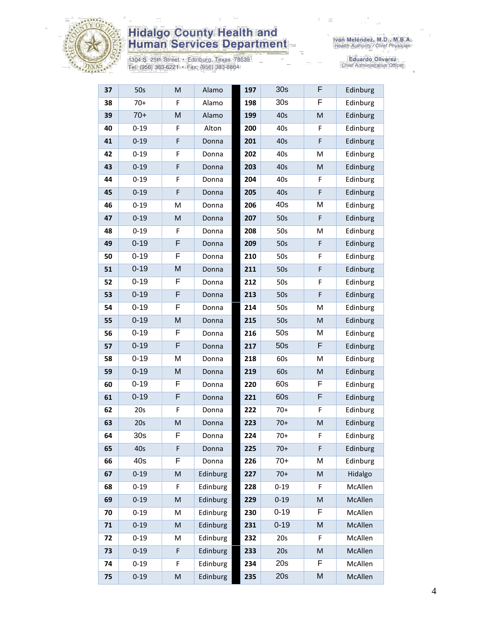

1304 S. 25th Street · Edinburg, Texas 78539<br>Tel: (956) 383-6221 · Fax: (956) 383-8864

Eduardo Olivarez<br>Chief Administrative Officer

| 37 | 50s             | M                                                                                                          | Alamo    | 197 | 30 <sub>s</sub> | F | Edinburg |
|----|-----------------|------------------------------------------------------------------------------------------------------------|----------|-----|-----------------|---|----------|
| 38 | $70+$           | F                                                                                                          | Alamo    | 198 | 30 <sub>s</sub> | F | Edinburg |
| 39 | $70+$           | M                                                                                                          | Alamo    | 199 | 40s             | M | Edinburg |
| 40 | $0 - 19$        | F                                                                                                          | Alton    | 200 | 40s             | F | Edinburg |
| 41 | $0 - 19$        | F                                                                                                          | Donna    | 201 | 40s             | F | Edinburg |
| 42 | $0 - 19$        | F                                                                                                          | Donna    | 202 | 40s             | M | Edinburg |
| 43 | $0 - 19$        | F                                                                                                          | Donna    | 203 | 40s             | M | Edinburg |
| 44 | $0 - 19$        | F                                                                                                          | Donna    | 204 | 40s             | F | Edinburg |
| 45 | $0 - 19$        | $\mathsf F$                                                                                                | Donna    | 205 | 40s             | F | Edinburg |
| 46 | $0 - 19$        | M                                                                                                          | Donna    | 206 | 40s             | M | Edinburg |
| 47 | $0 - 19$        | M                                                                                                          | Donna    | 207 | 50s             | F | Edinburg |
| 48 | $0 - 19$        | F                                                                                                          | Donna    | 208 | 50s             | M | Edinburg |
| 49 | $0 - 19$        | F                                                                                                          | Donna    | 209 | 50s             | F | Edinburg |
| 50 | $0 - 19$        | F                                                                                                          | Donna    | 210 | 50s             | F | Edinburg |
| 51 | $0 - 19$        | M                                                                                                          | Donna    | 211 | 50s             | F | Edinburg |
| 52 | $0 - 19$        | F                                                                                                          | Donna    | 212 | 50s             | F | Edinburg |
| 53 | $0 - 19$        | F                                                                                                          | Donna    | 213 | 50s             | F | Edinburg |
| 54 | $0 - 19$        | F                                                                                                          | Donna    | 214 | 50s             | M | Edinburg |
| 55 | $0 - 19$        | M                                                                                                          | Donna    | 215 | 50s             | M | Edinburg |
| 56 | $0 - 19$        | F                                                                                                          | Donna    | 216 | 50s             | M | Edinburg |
| 57 | $0 - 19$        | F                                                                                                          | Donna    | 217 | 50s             | F | Edinburg |
| 58 | $0 - 19$        | M                                                                                                          | Donna    | 218 | 60s             | Μ | Edinburg |
| 59 | $0 - 19$        | M                                                                                                          | Donna    | 219 | 60s             | M | Edinburg |
| 60 | $0 - 19$        | F                                                                                                          | Donna    | 220 | 60s             | F | Edinburg |
| 61 | $0 - 19$        | F                                                                                                          | Donna    | 221 | 60s             | F | Edinburg |
| 62 | 20s             | F                                                                                                          | Donna    | 222 | $70+$           | F | Edinburg |
| 63 | 20s             | M                                                                                                          | Donna    | 223 | $70+$           | M | Edinburg |
| 64 | 30 <sub>s</sub> | F                                                                                                          | Donna    | 224 | $70+$           | F | Edinburg |
| 65 | 40s             | F                                                                                                          | Donna    | 225 | $70+$           | F | Edinburg |
| 66 | 40s             | F                                                                                                          | Donna    | 226 | $70+$           | М | Edinburg |
| 67 | $0 - 19$        | M                                                                                                          | Edinburg | 227 | $70+$           | M | Hidalgo  |
| 68 | $0 - 19$        | F                                                                                                          | Edinburg | 228 | $0 - 19$        | F | McAllen  |
| 69 | $0 - 19$        | M                                                                                                          | Edinburg | 229 | $0 - 19$        | M | McAllen  |
| 70 | $0 - 19$        | M                                                                                                          | Edinburg | 230 | $0 - 19$        | F | McAllen  |
| 71 | $0 - 19$        | M                                                                                                          | Edinburg | 231 | $0 - 19$        | M | McAllen  |
| 72 | $0 - 19$        | M                                                                                                          | Edinburg | 232 | 20s             | F | McAllen  |
| 73 | $0 - 19$        | F                                                                                                          | Edinburg | 233 | 20s             | M | McAllen  |
| 74 | $0 - 19$        | F                                                                                                          | Edinburg | 234 | 20s             | F | McAllen  |
| 75 | $0 - 19$        | $\mathsf{M}% _{T}=\mathsf{M}_{T}\!\left( a,b\right) ,\ \mathsf{M}_{T}=\mathsf{M}_{T}\!\left( a,b\right) ,$ | Edinburg | 235 | 20s             | M | McAllen  |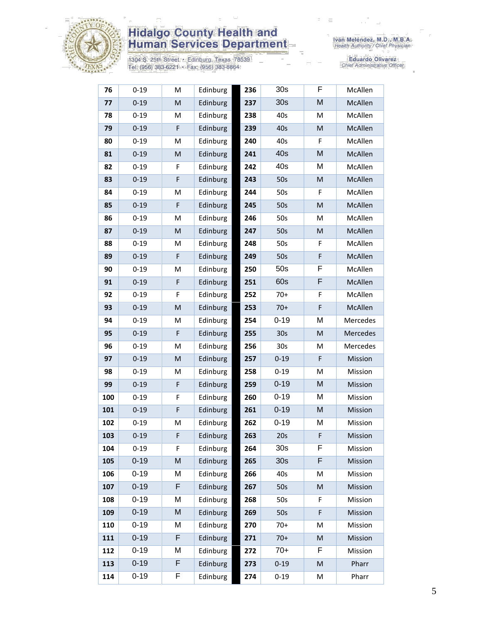

1304 S. 25th Street • Edinburg, Texas 78539<br>Tel: (956) 383-6221 • Fax: (956) 383-8864

Eduardo Olivarez<br>Chief Administrative Officer

| 76  | $0 - 19$ | M           | Edinburg | 236 | 30 <sub>s</sub> | F           | McAllen  |
|-----|----------|-------------|----------|-----|-----------------|-------------|----------|
| 77  | $0 - 19$ | ${\sf M}$   | Edinburg | 237 | 30 <sub>s</sub> | M           | McAllen  |
| 78  | $0 - 19$ | M           | Edinburg | 238 | 40s             | M           | McAllen  |
| 79  | $0 - 19$ | F           | Edinburg | 239 | 40s             | M           | McAllen  |
| 80  | $0 - 19$ | M           | Edinburg | 240 | 40s             | F           | McAllen  |
| 81  | $0 - 19$ | M           | Edinburg | 241 | 40s             | M           | McAllen  |
| 82  | $0 - 19$ | F           | Edinburg | 242 | 40s             | M           | McAllen  |
| 83  | $0 - 19$ | F           | Edinburg | 243 | 50s             | ${\sf M}$   | McAllen  |
| 84  | $0 - 19$ | M           | Edinburg | 244 | 50s             | F           | McAllen  |
| 85  | $0 - 19$ | F           | Edinburg | 245 | 50s             | M           | McAllen  |
| 86  | $0 - 19$ | M           | Edinburg | 246 | 50s             | M           | McAllen  |
| 87  | $0 - 19$ | M           | Edinburg | 247 | 50s             | M           | McAllen  |
| 88  | $0 - 19$ | M           | Edinburg | 248 | 50s             | F           | McAllen  |
| 89  | $0 - 19$ | F           | Edinburg | 249 | 50s             | $\mathsf F$ | McAllen  |
| 90  | $0 - 19$ | M           | Edinburg | 250 | 50s             | F           | McAllen  |
| 91  | $0 - 19$ | F           | Edinburg | 251 | 60s             | F           | McAllen  |
| 92  | $0 - 19$ | F           | Edinburg | 252 | $70+$           | F           | McAllen  |
| 93  | $0 - 19$ | M           | Edinburg | 253 | $70+$           | F           | McAllen  |
| 94  | $0 - 19$ | M           | Edinburg | 254 | $0 - 19$        | M           | Mercedes |
| 95  | $0 - 19$ | $\mathsf F$ | Edinburg | 255 | 30 <sub>s</sub> | M           | Mercedes |
| 96  | $0 - 19$ | M           | Edinburg | 256 | 30s             | M           | Mercedes |
| 97  | $0 - 19$ | M           | Edinburg | 257 | $0 - 19$        | F           | Mission  |
| 98  | $0 - 19$ | M           | Edinburg | 258 | $0 - 19$        | M           | Mission  |
| 99  | $0 - 19$ | F           | Edinburg | 259 | $0 - 19$        | M           | Mission  |
| 100 | $0 - 19$ | F           | Edinburg | 260 | $0 - 19$        | M           | Mission  |
| 101 | $0 - 19$ | F           | Edinburg | 261 | $0 - 19$        | M           | Mission  |
| 102 | $0 - 19$ | M           | Edinburg | 262 | $0 - 19$        | M           | Mission  |
| 103 | $0 - 19$ | F           | Edinburg | 263 | 20s             | F           | Mission  |
| 104 | $0 - 19$ | F           | Edinburg | 264 | 30 <sub>s</sub> | F           | Mission  |
| 105 | $0 - 19$ | M           | Edinburg | 265 | 30 <sub>s</sub> | F           | Mission  |
| 106 | $0 - 19$ | M           | Edinburg | 266 | 40s             | M           | Mission  |
| 107 | $0 - 19$ | F           | Edinburg | 267 | 50s             | M           | Mission  |
| 108 | $0 - 19$ | M           | Edinburg | 268 | 50s             | F           | Mission  |
| 109 | $0 - 19$ | M           | Edinburg | 269 | 50s             | F           | Mission  |
| 110 | $0 - 19$ | M           | Edinburg | 270 | $70+$           | M           | Mission  |
| 111 | $0 - 19$ | F           | Edinburg | 271 | $70+$           | M           | Mission  |
| 112 | $0 - 19$ | M           | Edinburg | 272 | $70+$           | F           | Mission  |
| 113 | $0 - 19$ | F           | Edinburg | 273 | $0 - 19$        | M           | Pharr    |
| 114 | $0 - 19$ | F           | Edinburg | 274 | $0 - 19$        | M           | Pharr    |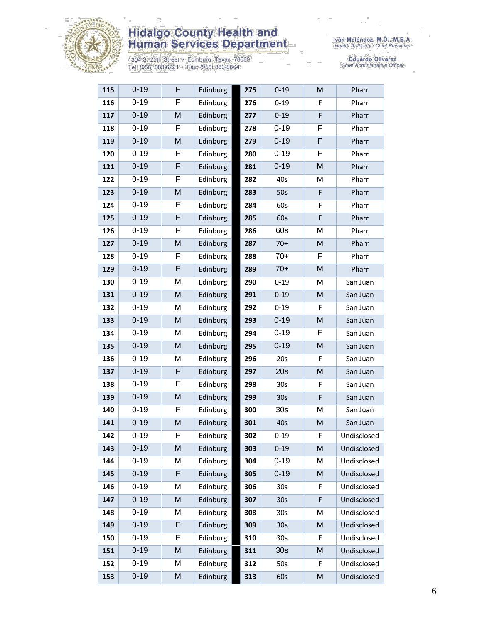

1304 S. 25th Street · Edinburg, Texas 78539<br>Tel: (956) 383-6221 · Fax: (956) 383-8864

Eduardo Olivarez<br>Chief Administrative Officer

| 115 | $0 - 19$ | F | Edinburg | 275 | $0 - 19$        | M | Pharr       |
|-----|----------|---|----------|-----|-----------------|---|-------------|
| 116 | $0 - 19$ | F | Edinburg | 276 | $0 - 19$        | F | Pharr       |
| 117 | $0 - 19$ | M | Edinburg | 277 | $0 - 19$        | F | Pharr       |
| 118 | $0 - 19$ | F | Edinburg | 278 | $0 - 19$        | F | Pharr       |
| 119 | $0 - 19$ | M | Edinburg | 279 | $0 - 19$        | F | Pharr       |
| 120 | $0 - 19$ | F | Edinburg | 280 | $0 - 19$        | F | Pharr       |
| 121 | $0 - 19$ | F | Edinburg | 281 | $0 - 19$        | M | Pharr       |
| 122 | $0 - 19$ | F | Edinburg | 282 | 40s             | M | Pharr       |
| 123 | $0 - 19$ | M | Edinburg | 283 | 50s             | F | Pharr       |
| 124 | $0 - 19$ | F | Edinburg | 284 | 60s             | F | Pharr       |
| 125 | $0 - 19$ | F | Edinburg | 285 | 60s             | F | Pharr       |
| 126 | $0 - 19$ | F | Edinburg | 286 | 60s             | M | Pharr       |
| 127 | $0 - 19$ | M | Edinburg | 287 | $70+$           | M | Pharr       |
| 128 | $0 - 19$ | F | Edinburg | 288 | $70+$           | F | Pharr       |
| 129 | $0 - 19$ | F | Edinburg | 289 | $70+$           | M | Pharr       |
| 130 | $0 - 19$ | M | Edinburg | 290 | $0 - 19$        | Μ | San Juan    |
| 131 | $0 - 19$ | M | Edinburg | 291 | $0 - 19$        | M | San Juan    |
| 132 | $0 - 19$ | M | Edinburg | 292 | $0 - 19$        | F | San Juan    |
| 133 | $0 - 19$ | M | Edinburg | 293 | $0 - 19$        | M | San Juan    |
| 134 | $0 - 19$ | M | Edinburg | 294 | $0 - 19$        | F | San Juan    |
| 135 | $0 - 19$ | M | Edinburg | 295 | $0 - 19$        | Μ | San Juan    |
| 136 | $0 - 19$ | M | Edinburg | 296 | 20s             | F | San Juan    |
| 137 | $0 - 19$ | F | Edinburg | 297 | 20s             | M | San Juan    |
| 138 | $0 - 19$ | F | Edinburg | 298 | 30 <sub>s</sub> | F | San Juan    |
| 139 | $0 - 19$ | M | Edinburg | 299 | 30 <sub>s</sub> | F | San Juan    |
| 140 | $0 - 19$ | F | Edinburg | 300 | 30 <sub>s</sub> | M | San Juan    |
| 141 | $0 - 19$ | M | Edinburg | 301 | 40s             | M | San Juan    |
| 142 | $0 - 19$ | F | Edinburg | 302 | $0 - 19$        | F | Undisclosed |
| 143 | $0 - 19$ | M | Edinburg | 303 | $0 - 19$        | M | Undisclosed |
| 144 | $0 - 19$ | M | Edinburg | 304 | $0 - 19$        | M | Undisclosed |
| 145 | $0 - 19$ | F | Edinburg | 305 | $0 - 19$        | M | Undisclosed |
| 146 | $0 - 19$ | M | Edinburg | 306 | 30 <sub>s</sub> | F | Undisclosed |
| 147 | $0 - 19$ | M | Edinburg | 307 | 30s             | F | Undisclosed |
| 148 | $0 - 19$ | M | Edinburg | 308 | 30 <sub>s</sub> | Μ | Undisclosed |
| 149 | $0 - 19$ | F | Edinburg | 309 | 30s             | M | Undisclosed |
| 150 | $0 - 19$ | F | Edinburg | 310 | 30s             | F | Undisclosed |
| 151 | $0 - 19$ | M | Edinburg | 311 | 30 <sub>s</sub> | M | Undisclosed |
| 152 | $0 - 19$ | M | Edinburg | 312 | 50s             | F | Undisclosed |
| 153 | $0 - 19$ | M | Edinburg | 313 | 60s             | M | Undisclosed |